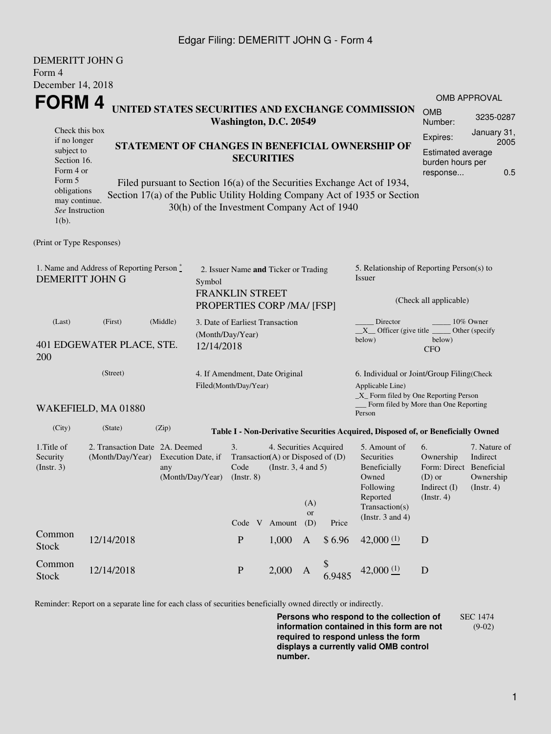## Edgar Filing: DEMERITT JOHN G - Form 4

| <b>DEMERITT JOHN G</b>                                                             |                                                                                                     |                                                                                                                                                 |                                                                                                        |                                                                                                                                                |                                                         |                     |                       |                                                                                                                         |                                                                                                         |                                                                                             |  |  |
|------------------------------------------------------------------------------------|-----------------------------------------------------------------------------------------------------|-------------------------------------------------------------------------------------------------------------------------------------------------|--------------------------------------------------------------------------------------------------------|------------------------------------------------------------------------------------------------------------------------------------------------|---------------------------------------------------------|---------------------|-----------------------|-------------------------------------------------------------------------------------------------------------------------|---------------------------------------------------------------------------------------------------------|---------------------------------------------------------------------------------------------|--|--|
| Form 4                                                                             |                                                                                                     |                                                                                                                                                 |                                                                                                        |                                                                                                                                                |                                                         |                     |                       |                                                                                                                         |                                                                                                         |                                                                                             |  |  |
| December 14, 2018                                                                  |                                                                                                     |                                                                                                                                                 |                                                                                                        |                                                                                                                                                |                                                         |                     |                       |                                                                                                                         |                                                                                                         |                                                                                             |  |  |
| <b>FORM4</b>                                                                       |                                                                                                     |                                                                                                                                                 |                                                                                                        |                                                                                                                                                |                                                         |                     |                       |                                                                                                                         |                                                                                                         | <b>OMB APPROVAL</b>                                                                         |  |  |
|                                                                                    | UNITED STATES SECURITIES AND EXCHANGE COMMISSION<br>Washington, D.C. 20549                          |                                                                                                                                                 |                                                                                                        |                                                                                                                                                |                                                         |                     | <b>OMB</b><br>Number: | 3235-0287                                                                                                               |                                                                                                         |                                                                                             |  |  |
| Check this box<br>if no longer<br>subject to<br>Section 16.<br>Form 4 or<br>Form 5 |                                                                                                     | STATEMENT OF CHANGES IN BENEFICIAL OWNERSHIP OF<br><b>SECURITIES</b><br>Filed pursuant to Section 16(a) of the Securities Exchange Act of 1934, |                                                                                                        |                                                                                                                                                |                                                         |                     |                       |                                                                                                                         |                                                                                                         | January 31,<br>Expires:<br>2005<br>Estimated average<br>burden hours per<br>0.5<br>response |  |  |
| obligations<br>may continue.<br>See Instruction<br>$1(b)$ .                        |                                                                                                     | Section 17(a) of the Public Utility Holding Company Act of 1935 or Section<br>30(h) of the Investment Company Act of 1940                       |                                                                                                        |                                                                                                                                                |                                                         |                     |                       |                                                                                                                         |                                                                                                         |                                                                                             |  |  |
| (Print or Type Responses)                                                          |                                                                                                     |                                                                                                                                                 |                                                                                                        |                                                                                                                                                |                                                         |                     |                       |                                                                                                                         |                                                                                                         |                                                                                             |  |  |
| 1. Name and Address of Reporting Person*<br><b>DEMERITT JOHN G</b>                 |                                                                                                     |                                                                                                                                                 | 2. Issuer Name and Ticker or Trading<br>Symbol<br><b>FRANKLIN STREET</b><br>PROPERTIES CORP /MA/ [FSP] |                                                                                                                                                |                                                         |                     |                       | 5. Relationship of Reporting Person(s) to<br>Issuer<br>(Check all applicable)                                           |                                                                                                         |                                                                                             |  |  |
| (Last)                                                                             | (First)                                                                                             | (Middle)                                                                                                                                        | 3. Date of Earliest Transaction<br>(Month/Day/Year)                                                    |                                                                                                                                                |                                                         |                     |                       | Director<br>10% Owner<br>$X$ Officer (give title $\overline{\phantom{a}}$<br>Other (specify                             |                                                                                                         |                                                                                             |  |  |
| 401 EDGEWATER PLACE, STE.<br>200                                                   |                                                                                                     |                                                                                                                                                 | 12/14/2018                                                                                             |                                                                                                                                                |                                                         |                     |                       | below)<br>below)<br><b>CFO</b>                                                                                          |                                                                                                         |                                                                                             |  |  |
|                                                                                    | (Street)                                                                                            |                                                                                                                                                 |                                                                                                        |                                                                                                                                                | 4. If Amendment, Date Original<br>Filed(Month/Day/Year) |                     |                       |                                                                                                                         | 6. Individual or Joint/Group Filing(Check<br>Applicable Line)<br>_X_ Form filed by One Reporting Person |                                                                                             |  |  |
|                                                                                    | WAKEFIELD, MA 01880                                                                                 |                                                                                                                                                 |                                                                                                        |                                                                                                                                                |                                                         |                     |                       | Form filed by More than One Reporting<br>Person                                                                         |                                                                                                         |                                                                                             |  |  |
| (City)                                                                             | (State)                                                                                             | (Zip)                                                                                                                                           |                                                                                                        |                                                                                                                                                |                                                         |                     |                       | Table I - Non-Derivative Securities Acquired, Disposed of, or Beneficially Owned                                        |                                                                                                         |                                                                                             |  |  |
| 1. Title of<br>Security<br>(Insert. 3)                                             | 2. Transaction Date 2A. Deemed<br>(Month/Day/Year)<br>Execution Date, if<br>any<br>(Month/Day/Year) |                                                                                                                                                 |                                                                                                        | 3.<br>4. Securities Acquired<br>Transaction(A) or Disposed of $(D)$<br>Code<br>(Instr. $3, 4$ and $5$ )<br>$($ Instr. $8)$<br>(A)<br><b>or</b> |                                                         |                     |                       | 5. Amount of<br>Securities<br>Beneficially<br>Owned<br>Following<br>Reported<br>Transaction(s)<br>(Instr. $3$ and $4$ ) | 6.<br>Ownership<br>Form: Direct Beneficial<br>$(D)$ or<br>Indirect (I)<br>$($ Instr. 4 $)$              | 7. Nature of<br>Indirect<br>Ownership<br>$($ Instr. 4 $)$                                   |  |  |
| Common<br>Stock                                                                    | 12/14/2018                                                                                          |                                                                                                                                                 |                                                                                                        | Code V<br>${\bf P}$                                                                                                                            | Amount<br>1,000                                         | (D)<br>$\mathbf{A}$ | Price<br>\$6.96       | 42,000(1)                                                                                                               | D                                                                                                       |                                                                                             |  |  |
| Common<br><b>Stock</b>                                                             | 12/14/2018                                                                                          |                                                                                                                                                 |                                                                                                        | $\mathbf{P}$                                                                                                                                   | 2,000                                                   | $\mathbf{A}$        | \$<br>6.9485          | 42,000 $(1)$                                                                                                            | $\mathbf D$                                                                                             |                                                                                             |  |  |

Reminder: Report on a separate line for each class of securities beneficially owned directly or indirectly.

**Persons who respond to the collection of information contained in this form are not required to respond unless the form displays a currently valid OMB control number.** SEC 1474 (9-02)